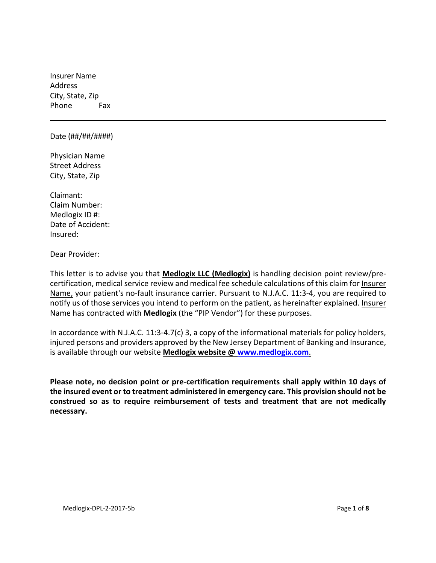Insurer Name Address City, State, Zip Phone Fax

#### Date (##/##/####)

Physician Name Street Address City, State, Zip

Claimant: Claim Number: Medlogix ID #: Date of Accident: Insured:

Dear Provider:

This letter is to advise you that **Medlogix LLC (Medlogix)** is handling decision point review/pre‐ certification, medical service review and medical fee schedule calculations of this claim for Insurer Name, your patient's no-fault insurance carrier. Pursuant to N.J.A.C. 11:3-4, you are required to notify us of those services you intend to perform on the patient, as hereinafter explained. Insurer Name has contracted with **Medlogix** (the "PIP Vendor") for these purposes.

In accordance with N.J.A.C. 11:3-4.7(c) 3, a copy of the informational materials for policy holders, injured persons and providers approved by the New Jersey Department of Banking and Insurance, is available through our website **Medlogix website @ www.medlogix.com**.

**Please note, no decision point or pre‐certification requirements shall apply within 10 days of the insured event or to treatment administered in emergency care. This provision should not be construed so as to require reimbursement of tests and treatment that are not medically necessary.**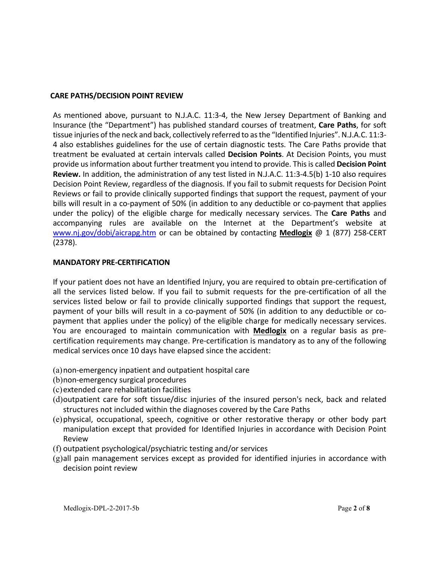### **CARE PATHS/DECISION POINT REVIEW**

As mentioned above, pursuant to N.J.A.C. 11:3-4, the New Jersey Department of Banking and Insurance (the "Department") has published standard courses of treatment, **Care Paths**, for soft tissue injuries ofthe neck and back, collectively referred to asthe "Identified Injuries". N.J.A.C. 11:3‐ 4 also establishes guidelines for the use of certain diagnostic tests. The Care Paths provide that treatment be evaluated at certain intervals called **Decision Points**. At Decision Points, you must provide usinformation about further treatment you intend to provide. Thisis called **Decision Point Review.** In addition, the administration of any test listed in N.J.A.C. 11:3‐4.5(b) 1‐10 also requires Decision Point Review, regardless of the diagnosis. If you fail to submit requests for Decision Point Reviews or fail to provide clinically supported findings that support the request, payment of your bills will result in a co-payment of 50% (in addition to any deductible or co-payment that applies under the policy) of the eligible charge for medically necessary services. The **Care Paths** and accompanying rules are available on the Internet at the Department's website at www.nj.gov/dobi/aicrapg.htm or can be obtained by contacting **Medlogix** @ 1 (877) 258‐CERT (2378).

#### **MANDATORY PRE‐CERTIFICATION**

If your patient does not have an Identified Injury, you are required to obtain pre‐certification of all the services listed below. If you fail to submit requests for the pre-certification of all the services listed below or fail to provide clinically supported findings that support the request, payment of your bills will result in a co-payment of 50% (in addition to any deductible or copayment that applies under the policy) of the eligible charge for medically necessary services. You are encouraged to maintain communication with **Medlogix** on a regular basis as pre‐ certification requirements may change. Pre‐certification is mandatory as to any of the following medical services once 10 days have elapsed since the accident:

- (a)non‐emergency inpatient and outpatient hospital care
- (b)non‐emergency surgical procedures
- (c)extended care rehabilitation facilities
- (d)outpatient care for soft tissue/disc injuries of the insured person's neck, back and related structures not included within the diagnoses covered by the Care Paths
- (e)physical, occupational, speech, cognitive or other restorative therapy or other body part manipulation except that provided for Identified Injuries in accordance with Decision Point Review
- (f) outpatient psychological/psychiatric testing and/or services
- (g)all pain management services except as provided for identified injuries in accordance with decision point review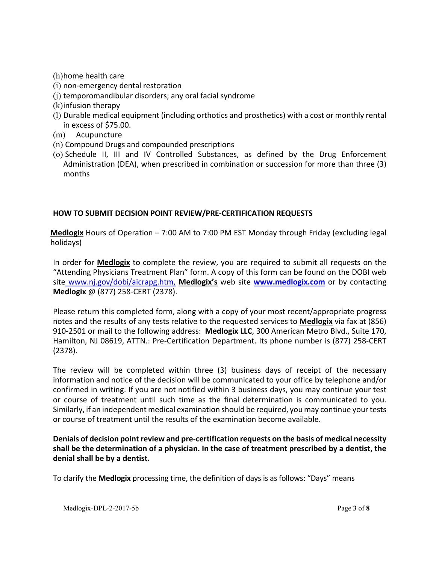(h)home health care

- (i) non‐emergency dental restoration
- (j) temporomandibular disorders; any oral facial syndrome
- (k)infusion therapy
- (l) Durable medical equipment (including orthotics and prosthetics) with a cost or monthly rental in excess of \$75.00.
- (m) Acupuncture
- (n) Compound Drugs and compounded prescriptions
- (o) Schedule II, III and IV Controlled Substances, as defined by the Drug Enforcement Administration (DEA), when prescribed in combination or succession for more than three (3) months

# **HOW TO SUBMIT DECISION POINT REVIEW/PRE‐CERTIFICATION REQUESTS**

**Medlogix** Hours of Operation – 7:00 AM to 7:00 PM EST Monday through Friday (excluding legal holidays)

In order for **Medlogix** to complete the review, you are required to submit all requests on the "Attending Physicians Treatment Plan" form. A copy of this form can be found on the DOBI web site www.nj.gov/dobi/aicrapg.htm, **Medlogix's** web site **www.medlogix.com** or by contacting **Medlogix** @ (877) 258‐CERT (2378).

Please return this completed form, along with a copy of your most recent/appropriate progress notes and the results of any tests relative to the requested services to **Medlogix** via fax at (856) 910‐2501 or mail to the following address: **Medlogix LLC**, 300 American Metro Blvd., Suite 170, Hamilton, NJ 08619, ATTN.: Pre‐Certification Department. Its phone number is (877) 258‐CERT (2378).

The review will be completed within three (3) business days of receipt of the necessary information and notice of the decision will be communicated to your office by telephone and/or confirmed in writing. If you are not notified within 3 business days, you may continue your test or course of treatment until such time as the final determination is communicated to you. Similarly, if an independent medical examination should be required, you may continue yourtests or course of treatment until the results of the examination become available.

**Denials of decision pointreview and pre‐certification requests on the basis of medical necessity shall be the determination of a physician. In the case of treatment prescribed by a dentist, the denial shall be by a dentist.**

To clarify the **Medlogix** processing time, the definition of days is as follows: "Days" means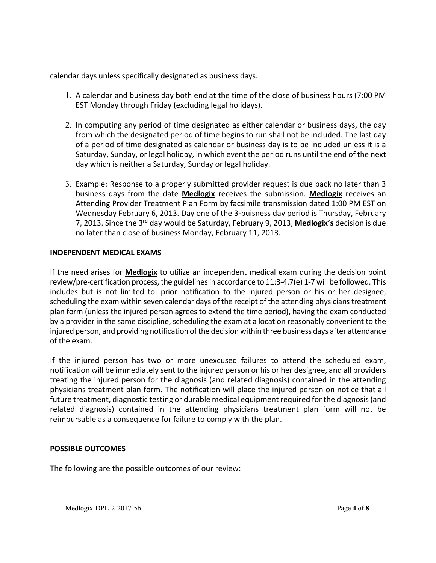calendar days unless specifically designated as business days.

- 1. A calendar and business day both end at the time of the close of business hours (7:00 PM EST Monday through Friday (excluding legal holidays).
- 2. In computing any period of time designated as either calendar or business days, the day from which the designated period of time begins to run shall not be included. The last day of a period of time designated as calendar or business day is to be included unless it is a Saturday, Sunday, or legal holiday, in which event the period runs until the end of the next day which is neither a Saturday, Sunday or legal holiday.
- 3. Example: Response to a properly submitted provider request is due back no later than 3 business days from the date **Medlogix** receives the submission. **Medlogix** receives an Attending Provider Treatment Plan Form by facsimile transmission dated 1:00 PM EST on Wednesday February 6, 2013. Day one of the 3‐buisness day period is Thursday, February 7, 2013. Since the 3rd day would be Saturday, February 9, 2013, **Medlogix's** decision is due no later than close of business Monday, February 11, 2013.

### **INDEPENDENT MEDICAL EXAMS**

If the need arises for **Medlogix** to utilize an independent medical exam during the decision point review/pre-certification process, the guidelines in accordance to  $11:3-4.7(e)$  1-7 will be followed. This includes but is not limited to: prior notification to the injured person or his or her designee, scheduling the exam within seven calendar days of the receipt of the attending physicians treatment plan form (unless the injured person agrees to extend the time period), having the exam conducted by a provider in the same discipline, scheduling the exam at a location reasonably convenient to the injured person, and providing notification of the decision within three business days after attendance of the exam.

If the injured person has two or more unexcused failures to attend the scheduled exam, notification will be immediately sent to the injured person or his or her designee, and all providers treating the injured person for the diagnosis (and related diagnosis) contained in the attending physicians treatment plan form. The notification will place the injured person on notice that all future treatment, diagnostic testing or durable medical equipment required for the diagnosis(and related diagnosis) contained in the attending physicians treatment plan form will not be reimbursable as a consequence for failure to comply with the plan.

#### **POSSIBLE OUTCOMES**

The following are the possible outcomes of our review: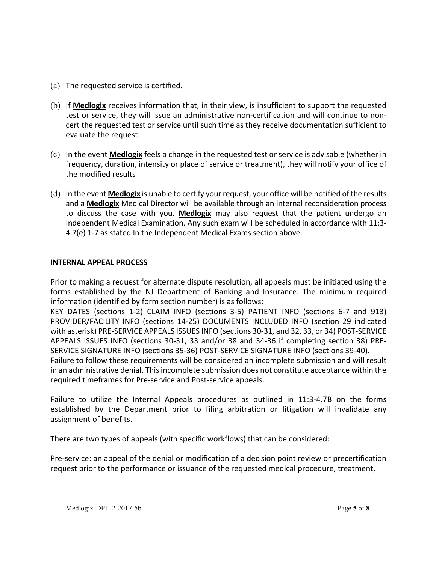- (a) The requested service is certified.
- (b) If **Medlogix** receives information that, in their view, is insufficient to support the requested test or service, they will issue an administrative non‐certification and will continue to non‐ cert the requested test or service until such time as they receive documentation sufficient to evaluate the request.
- (c) In the event **Medlogix** feels a change in the requested test or service is advisable (whether in frequency, duration, intensity or place of service or treatment), they will notify your office of the modified results
- (d) In the event **Medlogix** is unable to certify your request, your office will be notified of the results and a **Medlogix** Medical Director will be available through an internal reconsideration process to discuss the case with you. **Medlogix** may also request that the patient undergo an Independent Medical Examination. Any such exam will be scheduled in accordance with 11:3‐ 4.7(e) 1-7 as stated In the Independent Medical Exams section above.

### **INTERNAL APPEAL PROCESS**

Prior to making a request for alternate dispute resolution, all appeals must be initiated using the forms established by the NJ Department of Banking and Insurance. The minimum required information (identified by form section number) is as follows:

KEY DATES (sections 1‐2) CLAIM INFO (sections 3‐5) PATIENT INFO (sections 6‐7 and 913) PROVIDER/FACILITY INFO (sections 14‐25) DOCUMENTS INCLUDED INFO (section 29 indicated with asterisk) PRE‐SERVICE APPEALS ISSUES INFO (sections 30‐31, and 32, 33, or 34) POST‐SERVICE APPEALS ISSUES INFO (sections 30‐31, 33 and/or 38 and 34‐36 if completing section 38) PRE‐ SERVICE SIGNATURE INFO (sections 35‐36) POST‐SERVICE SIGNATURE INFO (sections 39‐40).

Failure to follow these requirements will be considered an incomplete submission and will result in an administrative denial. Thisincomplete submission does not constitute acceptance within the required timeframes for Pre‐service and Post‐service appeals.

Failure to utilize the Internal Appeals procedures as outlined in 11:3‐4.7B on the forms established by the Department prior to filing arbitration or litigation will invalidate any assignment of benefits.

There are two types of appeals (with specific workflows) that can be considered:

Pre‐service: an appeal of the denial or modification of a decision point review or precertification request prior to the performance or issuance of the requested medical procedure, treatment,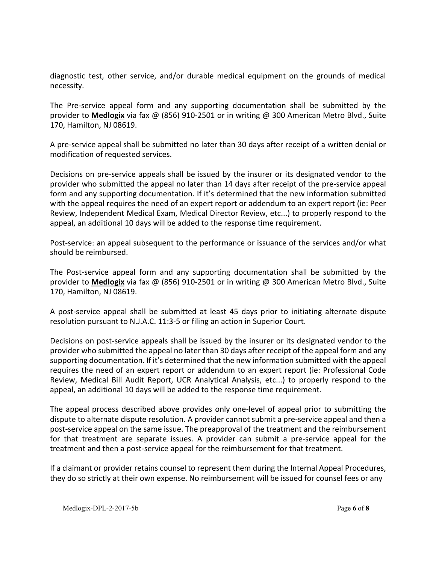diagnostic test, other service, and/or durable medical equipment on the grounds of medical necessity.

The Pre‐service appeal form and any supporting documentation shall be submitted by the provider to **Medlogix** via fax @ (856) 910‐2501 or in writing @ 300 American Metro Blvd., Suite 170, Hamilton, NJ 08619.

A pre‐service appeal shall be submitted no later than 30 days after receipt of a written denial or modification of requested services.

Decisions on pre‐service appeals shall be issued by the insurer or its designated vendor to the provider who submitted the appeal no later than 14 days after receipt of the pre‐service appeal form and any supporting documentation. If it's determined that the new information submitted with the appeal requires the need of an expert report or addendum to an expert report (ie: Peer Review, Independent Medical Exam, Medical Director Review, etc...) to properly respond to the appeal, an additional 10 days will be added to the response time requirement.

Post-service: an appeal subsequent to the performance or issuance of the services and/or what should be reimbursed.

The Post-service appeal form and any supporting documentation shall be submitted by the provider to **Medlogix** via fax @ (856) 910‐2501 or in writing @ 300 American Metro Blvd., Suite 170, Hamilton, NJ 08619.

A post‐service appeal shall be submitted at least 45 days prior to initiating alternate dispute resolution pursuant to N.J.A.C. 11:3‐5 or filing an action in Superior Court.

Decisions on post‐service appeals shall be issued by the insurer or its designated vendor to the provider who submitted the appeal no later than 30 days after receipt of the appeal form and any supporting documentation. If it's determined that the new information submitted with the appeal requires the need of an expert report or addendum to an expert report (ie: Professional Code Review, Medical Bill Audit Report, UCR Analytical Analysis, etc...) to properly respond to the appeal, an additional 10 days will be added to the response time requirement.

The appeal process described above provides only one‐level of appeal prior to submitting the dispute to alternate dispute resolution. A provider cannot submit a pre‐service appeal and then a post‐service appeal on the same issue. The preapproval of the treatment and the reimbursement for that treatment are separate issues. A provider can submit a pre‐service appeal for the treatment and then a post‐service appeal for the reimbursement for that treatment.

If a claimant or provider retains counsel to represent them during the Internal Appeal Procedures, they do so strictly at their own expense. No reimbursement will be issued for counsel fees or any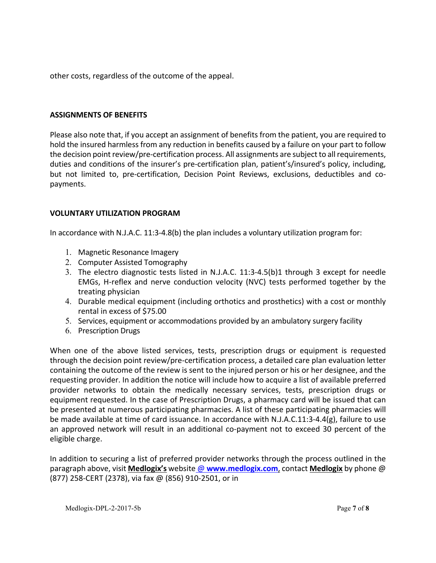other costs, regardless of the outcome of the appeal.

## **ASSIGNMENTS OF BENEFITS**

Please also note that, if you accept an assignment of benefits from the patient, you are required to hold the insured harmless from any reduction in benefits caused by a failure on your part to follow the decision point review/pre-certification process. All assignments are subject to all requirements, duties and conditions of the insurer's pre‐certification plan, patient's/insured's policy, including, but not limited to, pre-certification, Decision Point Reviews, exclusions, deductibles and copayments.

### **VOLUNTARY UTILIZATION PROGRAM**

In accordance with N.J.A.C. 11:3-4.8(b) the plan includes a voluntary utilization program for:

- 1. Magnetic Resonance Imagery
- 2. Computer Assisted Tomography
- 3. The electro diagnostic tests listed in N.J.A.C. 11:3‐4.5(b)1 through 3 except for needle EMGs, H-reflex and nerve conduction velocity (NVC) tests performed together by the treating physician
- 4. Durable medical equipment (including orthotics and prosthetics) with a cost or monthly rental in excess of \$75.00
- 5. Services, equipment or accommodations provided by an ambulatory surgery facility
- 6. Prescription Drugs

When one of the above listed services, tests, prescription drugs or equipment is requested through the decision point review/pre‐certification process, a detailed care plan evaluation letter containing the outcome of the review is sent to the injured person or his or her designee, and the requesting provider. In addition the notice will include how to acquire a list of available preferred provider networks to obtain the medically necessary services, tests, prescription drugs or equipment requested. In the case of Prescription Drugs, a pharmacy card will be issued that can be presented at numerous participating pharmacies. A list of these participating pharmacies will be made available at time of card issuance. In accordance with N.J.A.C.11:3‐4.4(g), failure to use an approved network will result in an additional co-payment not to exceed 30 percent of the eligible charge.

In addition to securing a list of preferred provider networks through the process outlined in the paragraph above, visit **Medlogix's** website @ **www.medlogix.com**, contact **Medlogix** by phone @ (877) 258‐CERT (2378), via fax @ (856) 910‐2501, or in